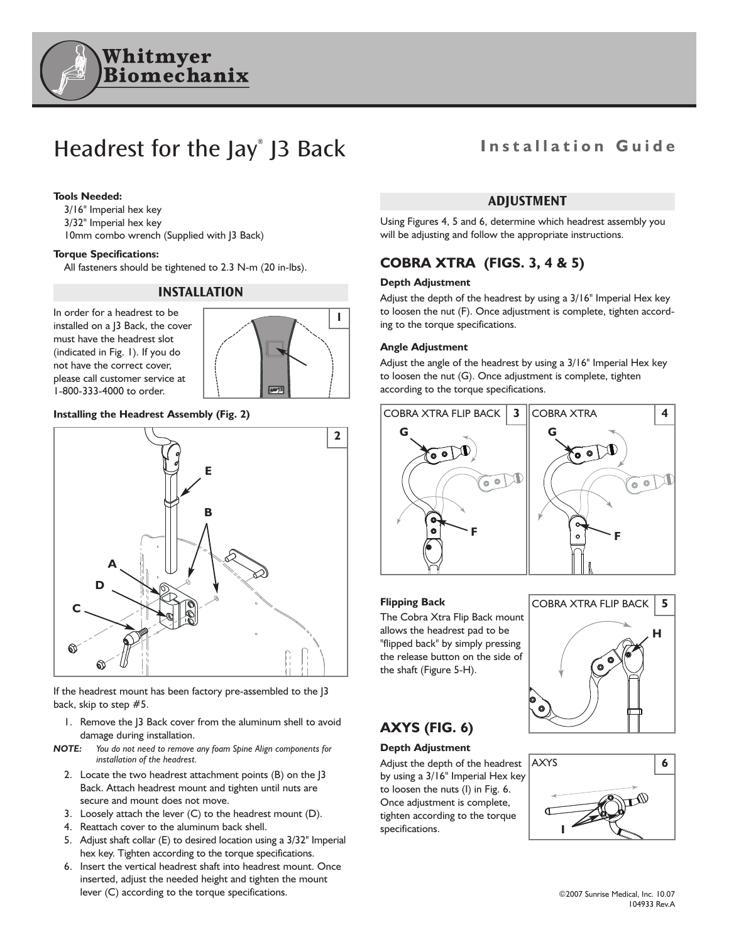

# Headrest for the Jay<sup>®</sup> J3 Back Installation Guide

#### **Tools Needed:**

3/16" Imperial hex key 3/32" Imperial hex key 10mm combo wrench (Supplied with J3 Back)

#### **Torque Specifications:**

All fasteners should be tightened to 2.3 N-m (20 in-lbs).

### **INSTALLATION**

In order for a headrest to be installed on a J3 Back, the cover must have the headrest slot (indicated in Fig. 1). If you do not have the correct cover, please call customer service at 1-800-333-4000 to order.



### **Installing the Headrest Assembly (Fig. 2)**



If the headrest mount has been factory pre-assembled to the J3 back, skip to step #5.

- 1. Remove the J3 Back cover from the aluminum shell to avoid damage during installation.
- *NOTE: You do not need to remove any foam Spine Align components for installation of the headrest.*
	- 2. Locate the two headrest attachment points (B) on the J3 Back. Attach headrest mount and tighten until nuts are secure and mount does not move.
	- 3. Loosely attach the lever (C) to the headrest mount (D).
	- 4. Reattach cover to the aluminum back shell.
	- 5. Adjust shaft collar (E) to desired location using a 3/32" Imperial hex key. Tighten according to the torque specifications.
	- 6. Insert the vertical headrest shaft into headrest mount. Once inserted, adjust the needed height and tighten the mount lever (C) according to the torque specifications.

### **ADJUSTMENT**

Using Figures 4, 5 and 6, determine which headrest assembly you will be adjusting and follow the appropriate instructions.

### **COBRA XTRA (FIGS. 3, 4 & 5)**

#### **Depth Adjustment**

Adjust the depth of the headrest by using a 3/16" Imperial Hex key to loosen the nut (F). Once adjustment is complete, tighten according to the torque specifications.

#### **Angle Adjustment**

Adjust the angle of the headrest by using a 3/16" Imperial Hex key to loosen the nut (G). Once adjustment is complete, tighten according to the torque specifications.



#### **Flipping Back**

The Cobra Xtra Flip Back mount allows the headrest pad to be "flipped back" by simply pressing the release button on the side of the shaft (Figure 5-H).



#### **Depth Adjustment**

Adjust the depth of the headrest by using a 3/16" Imperial Hex key to loosen the nuts (I) in Fig. 6. Once adjustment is complete, tighten according to the torque specifications.